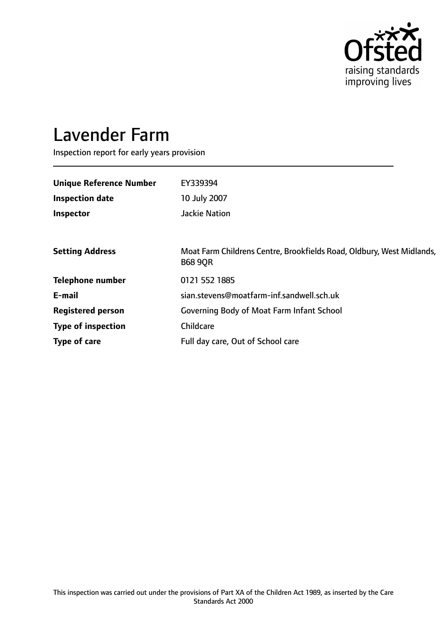

# Lavender Farm

Inspection report for early years provision

| <b>Unique Reference Number</b> | EY339394                                                                                |
|--------------------------------|-----------------------------------------------------------------------------------------|
| <b>Inspection date</b>         | 10 July 2007                                                                            |
| Inspector                      | <b>Jackie Nation</b>                                                                    |
|                                |                                                                                         |
| <b>Setting Address</b>         | Moat Farm Childrens Centre, Brookfields Road, Oldbury, West Midlands,<br><b>B68 9QR</b> |
| <b>Telephone number</b>        | 0121 552 1885                                                                           |
| E-mail                         | sian.stevens@moatfarm-inf.sandwell.sch.uk                                               |
| <b>Registered person</b>       | <b>Governing Body of Moat Farm Infant School</b>                                        |
| <b>Type of inspection</b>      | Childcare                                                                               |
| Type of care                   | Full day care, Out of School care                                                       |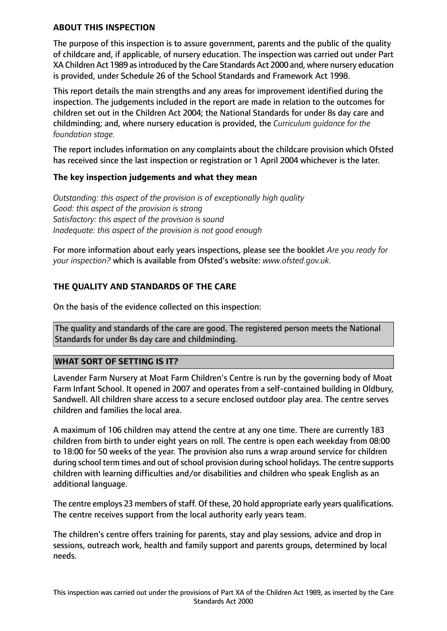## **ABOUT THIS INSPECTION**

The purpose of this inspection is to assure government, parents and the public of the quality of childcare and, if applicable, of nursery education. The inspection was carried out under Part XA Children Act 1989 as introduced by the Care Standards Act 2000 and, where nursery education is provided, under Schedule 26 of the School Standards and Framework Act 1998.

This report details the main strengths and any areas for improvement identified during the inspection. The judgements included in the report are made in relation to the outcomes for children set out in the Children Act 2004; the National Standards for under 8s day care and childminding; and, where nursery education is provided, the *Curriculum guidance for the foundation stage.*

The report includes information on any complaints about the childcare provision which Ofsted has received since the last inspection or registration or 1 April 2004 whichever is the later.

## **The key inspection judgements and what they mean**

*Outstanding: this aspect of the provision is of exceptionally high quality Good: this aspect of the provision is strong Satisfactory: this aspect of the provision is sound Inadequate: this aspect of the provision is not good enough*

For more information about early years inspections, please see the booklet *Are you ready for your inspection?* which is available from Ofsted's website: *www.ofsted.gov.uk.*

# **THE QUALITY AND STANDARDS OF THE CARE**

On the basis of the evidence collected on this inspection:

The quality and standards of the care are good. The registered person meets the National Standards for under 8s day care and childminding.

## **WHAT SORT OF SETTING IS IT?**

Lavender Farm Nursery at Moat Farm Children's Centre is run by the governing body of Moat Farm Infant School. It opened in 2007 and operates from a self-contained building in Oldbury, Sandwell. All children share access to a secure enclosed outdoor play area. The centre serves children and families the local area.

A maximum of 106 children may attend the centre at any one time. There are currently 183 children from birth to under eight years on roll. The centre is open each weekday from 08:00 to 18:00 for 50 weeks of the year. The provision also runs a wrap around service for children during school term times and out of school provision during school holidays. The centre supports children with learning difficulties and/or disabilities and children who speak English as an additional language.

The centre employs 23 members of staff. Of these, 20 hold appropriate early years qualifications. The centre receives support from the local authority early years team.

The children's centre offers training for parents, stay and play sessions, advice and drop in sessions, outreach work, health and family support and parents groups, determined by local needs.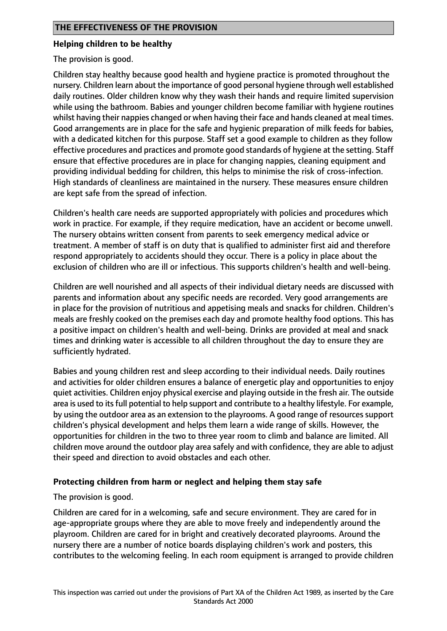#### **Helping children to be healthy**

The provision is good.

Children stay healthy because good health and hygiene practice is promoted throughout the nursery. Children learn about the importance of good personal hygiene through well established daily routines. Older children know why they wash their hands and require limited supervision while using the bathroom. Babies and younger children become familiar with hygiene routines whilst having their nappies changed or when having their face and hands cleaned at meal times. Good arrangements are in place for the safe and hygienic preparation of milk feeds for babies, with a dedicated kitchen for this purpose. Staff set a good example to children as they follow effective procedures and practices and promote good standards of hygiene at the setting. Staff ensure that effective procedures are in place for changing nappies, cleaning equipment and providing individual bedding for children, this helps to minimise the risk of cross-infection. High standards of cleanliness are maintained in the nursery. These measures ensure children are kept safe from the spread of infection.

Children's health care needs are supported appropriately with policies and procedures which work in practice. For example, if they require medication, have an accident or become unwell. The nursery obtains written consent from parents to seek emergency medical advice or treatment. A member of staff is on duty that is qualified to administer first aid and therefore respond appropriately to accidents should they occur. There is a policy in place about the exclusion of children who are ill or infectious. This supports children's health and well-being.

Children are well nourished and all aspects of their individual dietary needs are discussed with parents and information about any specific needs are recorded. Very good arrangements are in place for the provision of nutritious and appetising meals and snacks for children. Children's meals are freshly cooked on the premises each day and promote healthy food options. This has a positive impact on children's health and well-being. Drinks are provided at meal and snack times and drinking water is accessible to all children throughout the day to ensure they are sufficiently hydrated.

Babies and young children rest and sleep according to their individual needs. Daily routines and activities for older children ensures a balance of energetic play and opportunities to enjoy quiet activities. Children enjoy physical exercise and playing outside in the fresh air. The outside area is used to itsfull potential to help support and contribute to a healthy lifestyle. For example, by using the outdoor area as an extension to the playrooms. A good range of resources support children's physical development and helps them learn a wide range of skills. However, the opportunities for children in the two to three year room to climb and balance are limited. All children move around the outdoor play area safely and with confidence, they are able to adjust their speed and direction to avoid obstacles and each other.

## **Protecting children from harm or neglect and helping them stay safe**

## The provision is good.

Children are cared for in a welcoming, safe and secure environment. They are cared for in age-appropriate groups where they are able to move freely and independently around the playroom. Children are cared for in bright and creatively decorated playrooms. Around the nursery there are a number of notice boards displaying children's work and posters, this contributes to the welcoming feeling. In each room equipment is arranged to provide children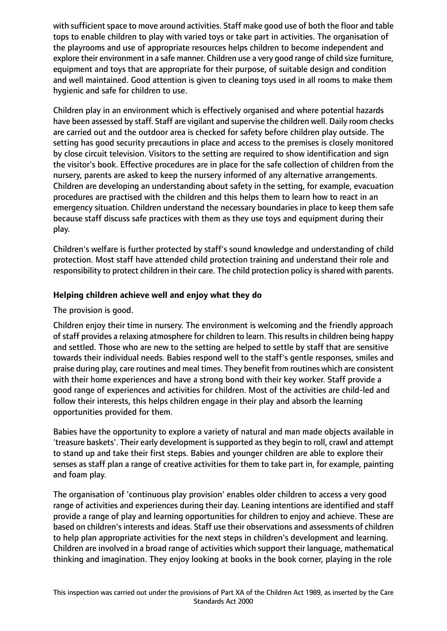with sufficient space to move around activities. Staff make good use of both the floor and table tops to enable children to play with varied toys or take part in activities. The organisation of the playrooms and use of appropriate resources helps children to become independent and explore their environment in a safe manner. Children use a very good range of child size furniture, equipment and toys that are appropriate for their purpose, of suitable design and condition and well maintained. Good attention is given to cleaning toys used in all rooms to make them hygienic and safe for children to use.

Children play in an environment which is effectively organised and where potential hazards have been assessed by staff. Staff are vigilant and supervise the children well. Daily room checks are carried out and the outdoor area is checked for safety before children play outside. The setting has good security precautions in place and access to the premises is closely monitored by close circuit television. Visitors to the setting are required to show identification and sign the visitor's book. Effective procedures are in place for the safe collection of children from the nursery, parents are asked to keep the nursery informed of any alternative arrangements. Children are developing an understanding about safety in the setting, for example, evacuation procedures are practised with the children and this helps them to learn how to react in an emergency situation. Children understand the necessary boundaries in place to keep them safe because staff discuss safe practices with them as they use toys and equipment during their play.

Children's welfare is further protected by staff's sound knowledge and understanding of child protection. Most staff have attended child protection training and understand their role and responsibility to protect children in their care. The child protection policy is shared with parents.

# **Helping children achieve well and enjoy what they do**

The provision is good.

Children enjoy their time in nursery. The environment is welcoming and the friendly approach of staff provides a relaxing atmosphere for children to learn. This results in children being happy and settled. Those who are new to the setting are helped to settle by staff that are sensitive towards their individual needs. Babies respond well to the staff's gentle responses, smiles and praise during play, care routines and meal times. They benefit from routines which are consistent with their home experiences and have a strong bond with their key worker. Staff provide a good range of experiences and activities for children. Most of the activities are child-led and follow their interests, this helps children engage in their play and absorb the learning opportunities provided for them.

Babies have the opportunity to explore a variety of natural and man made objects available in 'treasure baskets'. Their early development is supported as they begin to roll, crawl and attempt to stand up and take their first steps. Babies and younger children are able to explore their senses as staff plan a range of creative activities for them to take part in, for example, painting and foam play.

The organisation of 'continuous play provision' enables older children to access a very good range of activities and experiences during their day. Leaning intentions are identified and staff provide a range of play and learning opportunities for children to enjoy and achieve. These are based on children's interests and ideas. Staff use their observations and assessments of children to help plan appropriate activities for the next steps in children's development and learning. Children are involved in a broad range of activities which support their language, mathematical thinking and imagination. They enjoy looking at books in the book corner, playing in the role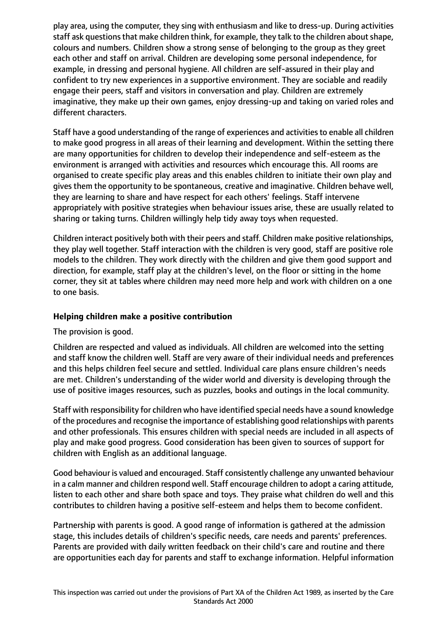play area, using the computer, they sing with enthusiasm and like to dress-up. During activities staff ask questions that make children think, for example, they talk to the children about shape, colours and numbers. Children show a strong sense of belonging to the group as they greet each other and staff on arrival. Children are developing some personal independence, for example, in dressing and personal hygiene. All children are self-assured in their play and confident to try new experiences in a supportive environment. They are sociable and readily engage their peers, staff and visitors in conversation and play. Children are extremely imaginative, they make up their own games, enjoy dressing-up and taking on varied roles and different characters.

Staff have a good understanding of the range of experiences and activities to enable all children to make good progress in all areas of their learning and development. Within the setting there are many opportunities for children to develop their independence and self-esteem as the environment is arranged with activities and resources which encourage this. All rooms are organised to create specific play areas and this enables children to initiate their own play and gives them the opportunity to be spontaneous, creative and imaginative. Children behave well, they are learning to share and have respect for each others' feelings. Staff intervene appropriately with positive strategies when behaviour issues arise, these are usually related to sharing or taking turns. Children willingly help tidy away toys when requested.

Children interact positively both with their peers and staff. Children make positive relationships, they play well together. Staff interaction with the children is very good, staff are positive role models to the children. They work directly with the children and give them good support and direction, for example, staff play at the children's level, on the floor or sitting in the home corner, they sit at tables where children may need more help and work with children on a one to one basis.

## **Helping children make a positive contribution**

The provision is good.

Children are respected and valued as individuals. All children are welcomed into the setting and staff know the children well. Staff are very aware of their individual needs and preferences and this helps children feel secure and settled. Individual care plans ensure children's needs are met. Children's understanding of the wider world and diversity is developing through the use of positive images resources, such as puzzles, books and outings in the local community.

Staff with responsibility for children who have identified special needs have a sound knowledge of the procedures and recognise the importance of establishing good relationships with parents and other professionals. This ensures children with special needs are included in all aspects of play and make good progress. Good consideration has been given to sources of support for children with English as an additional language.

Good behaviour is valued and encouraged. Staff consistently challenge any unwanted behaviour in a calm manner and children respond well. Staff encourage children to adopt a caring attitude, listen to each other and share both space and toys. They praise what children do well and this contributes to children having a positive self-esteem and helps them to become confident.

Partnership with parents is good. A good range of information is gathered at the admission stage, this includes details of children's specific needs, care needs and parents' preferences. Parents are provided with daily written feedback on their child's care and routine and there are opportunities each day for parents and staff to exchange information. Helpful information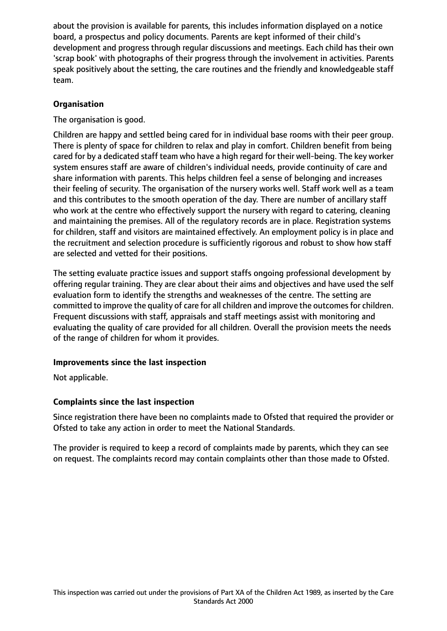about the provision is available for parents, this includes information displayed on a notice board, a prospectus and policy documents. Parents are kept informed of their child's development and progress through regular discussions and meetings. Each child has their own 'scrap book' with photographs of their progress through the involvement in activities. Parents speak positively about the setting, the care routines and the friendly and knowledgeable staff team.

## **Organisation**

The organisation is good.

Children are happy and settled being cared for in individual base rooms with their peer group. There is plenty of space for children to relax and play in comfort. Children benefit from being cared for by a dedicated staff team who have a high regard for their well-being. The key worker system ensures staff are aware of children's individual needs, provide continuity of care and share information with parents. This helps children feel a sense of belonging and increases their feeling of security. The organisation of the nursery works well. Staff work well as a team and this contributes to the smooth operation of the day. There are number of ancillary staff who work at the centre who effectively support the nursery with regard to catering, cleaning and maintaining the premises. All of the regulatory records are in place. Registration systems for children, staff and visitors are maintained effectively. An employment policy is in place and the recruitment and selection procedure is sufficiently rigorous and robust to show how staff are selected and vetted for their positions.

The setting evaluate practice issues and support staffs ongoing professional development by offering regular training. They are clear about their aims and objectives and have used the self evaluation form to identify the strengths and weaknesses of the centre. The setting are committed to improve the quality of care for all children and improve the outcomes for children. Frequent discussions with staff, appraisals and staff meetings assist with monitoring and evaluating the quality of care provided for all children. Overall the provision meets the needs of the range of children for whom it provides.

## **Improvements since the last inspection**

Not applicable.

## **Complaints since the last inspection**

Since registration there have been no complaints made to Ofsted that required the provider or Ofsted to take any action in order to meet the National Standards.

The provider is required to keep a record of complaints made by parents, which they can see on request. The complaints record may contain complaints other than those made to Ofsted.